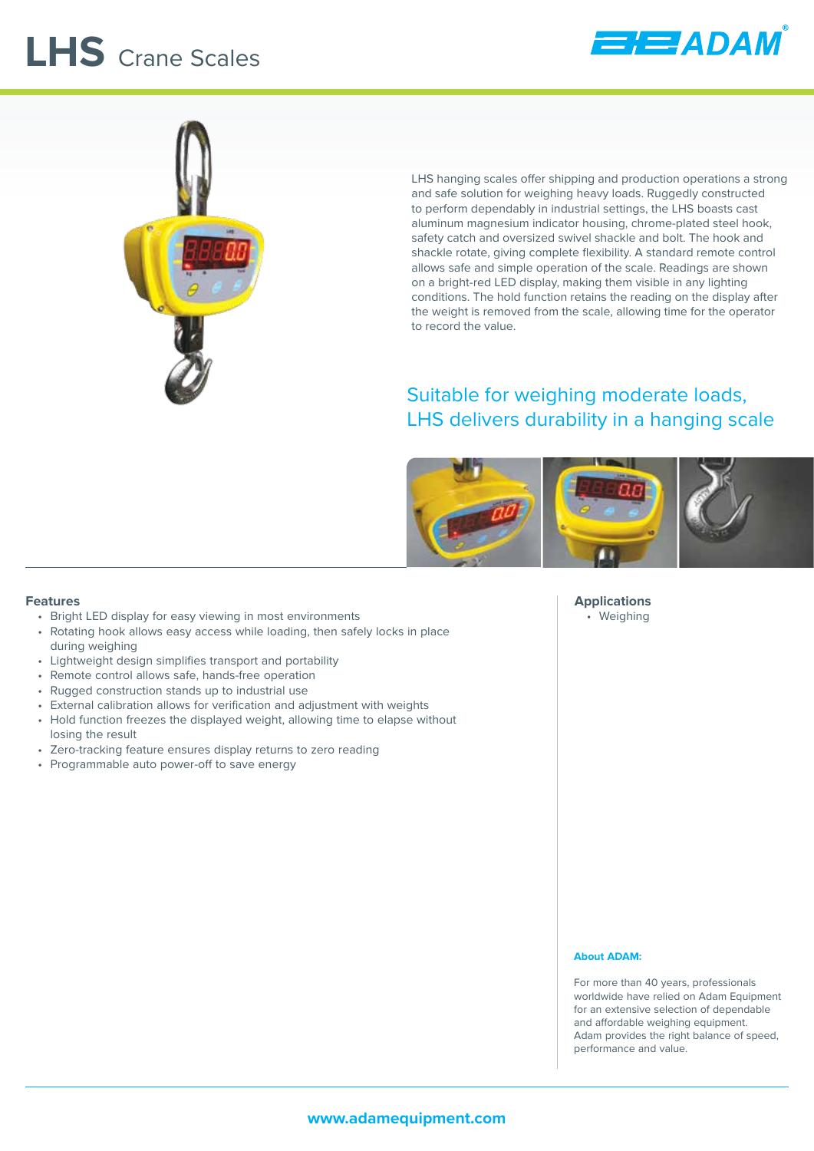# **LHS** Crane Scales





LHS hanging scales offer shipping and production operations a strong and safe solution for weighing heavy loads. Ruggedly constructed to perform dependably in industrial settings, the LHS boasts cast aluminum magnesium indicator housing, chrome-plated steel hook, safety catch and oversized swivel shackle and bolt. The hook and shackle rotate, giving complete flexibility. A standard remote control allows safe and simple operation of the scale. Readings are shown on a bright-red LED display, making them visible in any lighting conditions. The hold function retains the reading on the display after the weight is removed from the scale, allowing time for the operator to record the value.

### Suitable for weighing moderate loads, LHS delivers durability in a hanging scale



#### **Features**

- Bright LED display for easy viewing in most environments
- Rotating hook allows easy access while loading, then safely locks in place during weighing
- Lightweight design simplifies transport and portability
- Remote control allows safe, hands-free operation
- Rugged construction stands up to industrial use
- External calibration allows for verification and adjustment with weights
- Hold function freezes the displayed weight, allowing time to elapse without losing the result
- Zero-tracking feature ensures display returns to zero reading
- Programmable auto power-off to save energy

**Applications** • Weighing

#### **About ADAM:**

For more than 40 years, professionals worldwide have relied on Adam Equipment for an extensive selection of dependable and affordable weighing equipment. Adam provides the right balance of speed, performance and value.